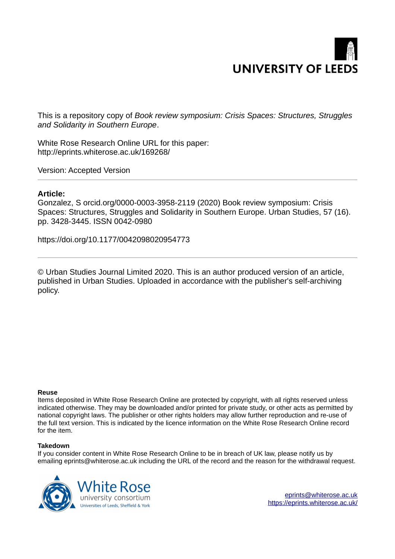## **UNIVERSITY OF LEEDS**

This is a repository copy of *Book review symposium: Crisis Spaces: Structures, Struggles and Solidarity in Southern Europe*.

White Rose Research Online URL for this paper: http://eprints.whiterose.ac.uk/169268/

Version: Accepted Version

## **Article:**

Gonzalez, S orcid.org/0000-0003-3958-2119 (2020) Book review symposium: Crisis Spaces: Structures, Struggles and Solidarity in Southern Europe. Urban Studies, 57 (16). pp. 3428-3445. ISSN 0042-0980

https://doi.org/10.1177/0042098020954773

© Urban Studies Journal Limited 2020. This is an author produced version of an article, published in Urban Studies. Uploaded in accordance with the publisher's self-archiving policy.

## **Reuse**

Items deposited in White Rose Research Online are protected by copyright, with all rights reserved unless indicated otherwise. They may be downloaded and/or printed for private study, or other acts as permitted by national copyright laws. The publisher or other rights holders may allow further reproduction and re-use of the full text version. This is indicated by the licence information on the White Rose Research Online record for the item.

## **Takedown**

If you consider content in White Rose Research Online to be in breach of UK law, please notify us by emailing eprints@whiterose.ac.uk including the URL of the record and the reason for the withdrawal request.



eprints@whiterose.ac.uk https://eprints.whiterose.ac.uk/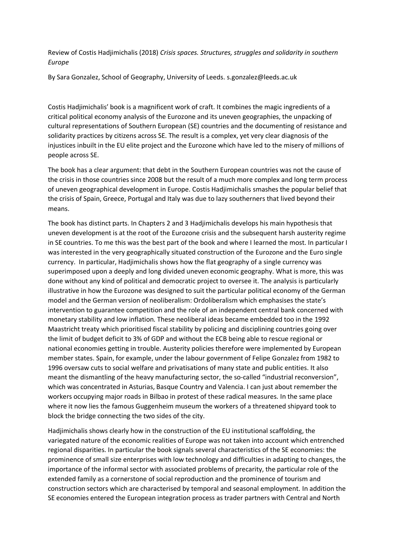Review of Costis Hadjimichalis (2018) *Crisis spaces. Structures, struggles and solidarity in southern Europe* 

By Sara Gonzalez, School of Geography, University of Leeds. s.gonzalez@leeds.ac.uk

Costis Hadjimichalis' book is a magnificent work of craft. It combines the magic ingredients of a critical political economy analysis of the Eurozone and its uneven geographies, the unpacking of cultural representations of Southern European (SE) countries and the documenting of resistance and solidarity practices by citizens across SE. The result is a complex, yet very clear diagnosis of the injustices inbuilt in the EU elite project and the Eurozone which have led to the misery of millions of people across SE.

The book has a clear argument: that debt in the Southern European countries was not the cause of the crisis in those countries since 2008 but the result of a much more complex and long term process of uneven geographical development in Europe. Costis Hadjimichalis smashes the popular belief that the crisis of Spain, Greece, Portugal and Italy was due to lazy southerners that lived beyond their means.

The book has distinct parts. In Chapters 2 and 3 Hadjimichalis develops his main hypothesis that uneven development is at the root of the Eurozone crisis and the subsequent harsh austerity regime in SE countries. To me this was the best part of the book and where I learned the most. In particular I was interested in the very geographically situated construction of the Eurozone and the Euro single currency. In particular, Hadjimichalis shows how the flat geography of a single currency was superimposed upon a deeply and long divided uneven economic geography. What is more, this was done without any kind of political and democratic project to oversee it. The analysis is particularly illustrative in how the Eurozone was designed to suit the particular political economy of the German model and the German version of neoliberalism: Ordoliberalism which emphasises the state's intervention to guarantee competition and the role of an independent central bank concerned with monetary stability and low inflation. These neoliberal ideas became embedded too in the 1992 Maastricht treaty which prioritised fiscal stability by policing and disciplining countries going over the limit of budget deficit to 3% of GDP and without the ECB being able to rescue regional or national economies getting in trouble. Austerity policies therefore were implemented by European member states. Spain, for example, under the labour government of Felipe Gonzalez from 1982 to 1996 oversaw cuts to social welfare and privatisations of many state and public entities. It also meant the dismantling of the heavy manufacturing sector, the so-called "industrial reconversion", which was concentrated in Asturias, Basque Country and Valencia. I can just about remember the workers occupying major roads in Bilbao in protest of these radical measures. In the same place where it now lies the famous Guggenheim museum the workers of a threatened shipyard took to block the bridge connecting the two sides of the city.

Hadjimichalis shows clearly how in the construction of the EU institutional scaffolding, the variegated nature of the economic realities of Europe was not taken into account which entrenched regional disparities. In particular the book signals several characteristics of the SE economies: the prominence of small size enterprises with low technology and difficulties in adapting to changes, the importance of the informal sector with associated problems of precarity, the particular role of the extended family as a cornerstone of social reproduction and the prominence of tourism and construction sectors which are characterised by temporal and seasonal employment. In addition the SE economies entered the European integration process as trader partners with Central and North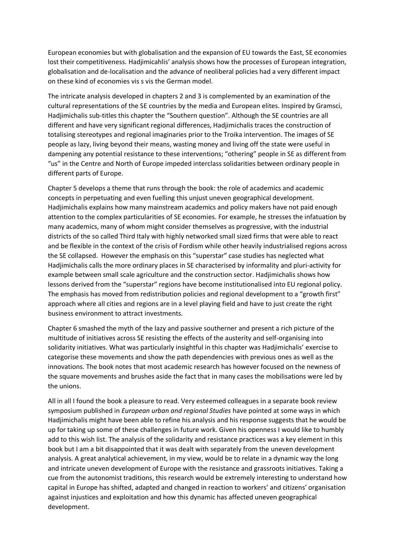European economies but with globalisation and the expansion of EU towards the East, SE economies lost their competitiveness. Hadjimicahlis' analysis shows how the processes of European integration, globalisation and de-localisation and the advance of neoliberal policies had a very different impact on these kind of economies vis s vis the German model.

The intricate analysis developed in chapters 2 and 3 is complemented by an examination of the cultural representations of the SE countries by the media and European elites. Inspired by Gramsci, Hadjimichalis sub-titles this chapter the "Southern question". Although the SE countries are all different and have very significant regional differences, Hadjimichalis traces the construction of totalising stereotypes and regional imaginaries prior to the Troika intervention. The images of SE people as lazy, living beyond their means, wasting money and living off the state were useful in dampening any potential resistance to these interventions; "othering" people in SE as different from "us" in the Centre and North of Europe impeded interclass solidarities between ordinary people in different parts of Europe.

Chapter 5 develops a theme that runs through the book: the role of academics and academic concepts in perpetuating and even fuelling this unjust uneven geographical development. Hadjimichalis explains how many mainstream academics and policy makers have not paid enough attention to the complex particularities of SE economies. For example, he stresses the infatuation by many academics, many of whom might consider themselves as progressive, with the industrial districts of the so called Third Italy with highly networked small sized firms that were able to react and be flexible in the context of the crisis of Fordism while other heavily industrialised regions across the SE collapsed. However the emphasis on this "superstar" case studies has neglected what Hadjimichalis calls the more ordinary places in SE characterised by informality and pluri-activity for example between small scale agriculture and the construction sector. Hadjimichalis shows how lessons derived from the "superstar" regions have become institutionalised into EU regional policy. The emphasis has moved from redistribution policies and regional development to a "growth first" approach where all cities and regions are in a level playing field and have to just create the right business environment to attract investments.

Chapter 6 smashed the myth of the lazy and passive southerner and present a rich picture of the multitude of initiatives across SE resisting the effects of the austerity and self-organising into solidarity initiatives. What was particularly insightful in this chapter was Hadjimichalis' exercise to categorise these movements and show the path dependencies with previous ones as well as the innovations. The book notes that most academic research has however focused on the newness of the square movements and brushes aside the fact that in many cases the mobilisations were led by the unions.

All in all I found the book a pleasure to read. Very esteemed colleagues in a separate book review symposium published in *European urban and regional Studies* have pointed at some ways in which Hadjimichalis might have been able to refine his analysis and his response suggests that he would be up for taking up some of these challenges in future work. Given his openness I would like to humbly add to this wish list. The analysis of the solidarity and resistance practices was a key element in this book but I am a bit disappointed that it was dealt with separately from the uneven development analysis. A great analytical achievement, in my view, would be to relate in a dynamic way the long and intricate uneven development of Europe with the resistance and grassroots initiatives. Taking a cue from the autonomist traditions, this research would be extremely interesting to understand how capital in Europe has shifted, adapted and changed in reaction to workers' and citizens' organisation against injustices and exploitation and how this dynamic has affected uneven geographical development.